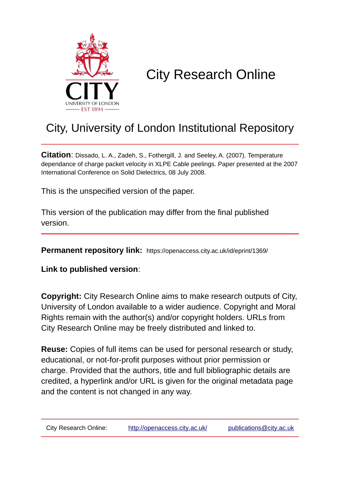

# City Research Online

## City, University of London Institutional Repository

**Citation**: Dissado, L. A., Zadeh, S., Fothergill, J. and Seeley, A. (2007). Temperature dependance of charge packet velocity in XLPE Cable peelings. Paper presented at the 2007 International Conference on Solid Dielectrics, 08 July 2008.

This is the unspecified version of the paper.

This version of the publication may differ from the final published version.

**Permanent repository link:** https://openaccess.city.ac.uk/id/eprint/1369/

**Link to published version**:

**Copyright:** City Research Online aims to make research outputs of City, University of London available to a wider audience. Copyright and Moral Rights remain with the author(s) and/or copyright holders. URLs from City Research Online may be freely distributed and linked to.

**Reuse:** Copies of full items can be used for personal research or study, educational, or not-for-profit purposes without prior permission or charge. Provided that the authors, title and full bibliographic details are credited, a hyperlink and/or URL is given for the original metadata page and the content is not changed in any way.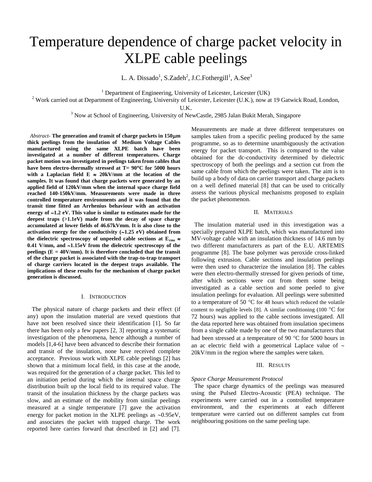## Temperature dependence of charge packet velocity in XLPE cable peelings

L. A. Dissado<sup>1</sup>, S.Zadeh<sup>2</sup>, J.C.Fothergill<sup>1</sup>, A.See<sup>3</sup>

 $<sup>1</sup>$  Department of Engineering, University of Leicester, Leicester (UK)</sup>

 $2$  Work carried out at Department of Engineering, University of Leicester, Leicester (U.K.), now at 19 Gatwick Road, London,

 $U K$ .

<sup>3</sup> Now at School of Engineering, University of NewCastle, 2985 Jalan Bukit Merah, Singapore

 *Abstract-* **The generation and transit of charge packets in 150m thick peelings from the insulation of Medium Voltage Cables manufactured using the same XLPE batch have been investigated at a number of different temperatures. Charge packet motion was investigated in peelings taken from cables that have been electro-thermally stressed at T= 90C for 5000 hours**  with a Laplacian field  $E \approx 20$ kV/mm at the location of the **samples. It was found that charge packets were generated by an applied field of 120kV/mm when the internal space charge field reached 140-150kV/mm. Measurements were made in three controlled temperature environments and it was found that the transit time fitted an Arrhenius behaviour with an activation energy of 1.2 eV. This value is similar to estimates made for the deepest traps (>1.1eV) made from the decay of space charge accumulated at lower fields of 46.67kVmm. It is also close to the activation energy for the conductivity (1.25 eV) obtained from**  the dielectric spectroscopy of unpeeled cable sections at  $E_{rms} \approx$ **0.41 V/mm, and 1.15eV from the dielectric spectroscopy of the**  peelings  $(E = 40V/\text{mm})$ . It is therefore concluded that the transit **of the charge packet is associated with the trap-to-trap transport of charge carriers located in the deepest traps available. The implications of these results for the mechanism of charge packet generation is discussed.**

## I. INTRODUCTION

 The physical nature of charge packets and their effect (if any) upon the insulation material are vexed questions that have not been resolved since their identification [1]. So far there has been only a few papers [2, 3] reporting a systematic investigation of the phenomena, hence although a number of models [1,4-6] have been advanced to describe their formation and transit of the insulation, none have received complete acceptance. Previous work with XLPE cable peelings [2] has shown that a minimum local field, in this case at the anode, was required for the generation of a charge packet. This led to an initiation period during which the internal space charge distribution built up the local field to its required value. The transit of the insulation thickness by the charge packets was slow, and an estimate of the mobility from similar peelings measured at a single temperature [7] gave the activation energy for packet motion in the XLPE peelings as  $\sim 0.95 \text{eV}$ , and associates the packet with trapped charge. The work reported here carries forward that described in [2] and [7]. Measurements are made at three different temperatures on samples taken from a specific peeling produced by the same programme, so as to determine unambiguously the activation energy for packet transport. This is compared to the value obtained for the dc-conductivity determined by dielectric spectroscopy of both the peelings and a section cut from the same cable from which the peelings were taken. The aim is to build up a body of data on carrier transport and charge packets on a well defined material [8] that can be used to critically assess the various physical mechanisms proposed to explain the packet phenomenon.

## II. MATERIALS

 The insulation material used in this investigation was a specially prepared XLPE batch, which was manufactured into MV-voltage cable with an insulation thickness of 14.6 mm by two different manufacturers as part of the E.U. ARTEMIS programme [8]. The base polymer was peroxide cross-linked following extrusion. Cable sections and insulation peelings were then used to characterize the insulation [8]. The cables were then electro-thermally stressed for given periods of time, after which sections were cut from them some being investigated as a cable section and some peeled to give insulation peelings for evaluation. All peelings were submitted to a temperature of 50  $\mathrm{^{\circ}C}$  for 48 hours which reduced the volatile content to negligible levels [8]. A similar conditioning (100  $\rm{^{\circ}C}$  for 72 hours) was applied to the cable sections investigated. All the data reported here was obtained from insulation specimens from a single cable made by one of the two manufacturers that had been stressed at a temperature of 90  $^{\circ}$ C for 5000 hours in an ac electric field with a geometrical Laplace value of  $\sim$ 20kV/mm in the region where the samples were taken.

## III. RESULTS

## *Space Charge Measurement Protocol*

 The space charge dynamics of the peelings was measured using the Pulsed Electro-Acoustic (PEA) technique. The experiments were carried out in a controlled temperature environment, and the experiments at each different temperature were carried out on different samples cut from neighbouring positions on the same peeling tape.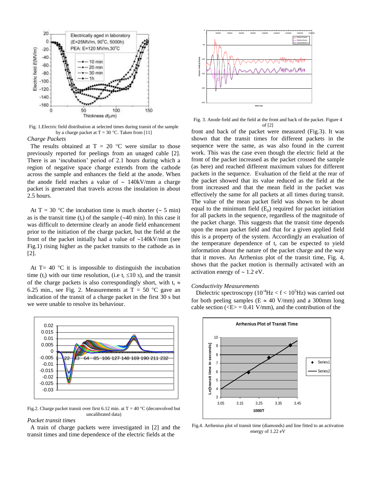

Fig. 1.Electric field distribution at selected times during transit of the sample by a charge packet at  $T = 30$  °C. Taken from [11]

#### *Charge Packets*

The results obtained at  $T = 20$  °C were similar to those previously reported for peelings from an unaged cable [2]. There is an "incubation" period of 2.1 hours during which a region of negative space charge extends from the cathode across the sample and enhances the field at the anode. When the anode field reaches a value of  $\sim 140 \text{kV/mm}$  a charge packet is generated that travels across the insulation in about 2.5 hours.

At T = 30 °C the incubation time is much shorter ( $\sim$  5 min) as is the transit time  $(t_t)$  of the sample ( $\sim$ 40 min). In this case it was difficult to determine clearly an anode field enhancement prior to the initiation of the charge packet, but the field at the front of the packet initially had a value of  $\sim$ 140kV/mm (see Fig.1) rising higher as the packet transits to the cathode as in [2].

At  $T=40$  °C it is impossible to distinguish the incubation time (t<sub>i</sub>) with our time resolution, (i.e t<sub>i</sub>  $\leq 10$  s), and the transit of the charge packets is also correspondingly short, with  $t_t \approx$ 6.25 min., see Fig. 2. Measurements at  $T = 50$  °C gave an indication of the transit of a charge packet in the first 30 s but we were unable to resolve its behaviour.



Fig.2. Charge packet transit over first 6.12 min. at  $T = 40 °C$  (deconvolved but uncalibrated data)

## *Packet transit times*

 A train of charge packets were investigated in [2] and the transit times and time dependence of the electric fields at the



Fig. 3. Anode field and the field at the front and back of the packet. Figure 4 of [2]

front and back of the packet were measured (Fig.3). It was shown that the transit times for different packets in the sequence were the same, as was also found in the current work. This was the case even though the electric field at the front of the packet increased as the packet crossed the sample (as here) and reached different maximum values for different packets in the sequence. Evaluation of the field at the rear of the packet showed that its value reduced as the field at the front increased and that the mean field in the packet was effectively the same for all packets at all times during transit. The value of the mean packet field was shown to be about equal to the minimum field  $(E_p)$  required for packet initiation for all packets in the sequence, regardless of the magnitude of the packet charge. This suggests that the transit time depends upon the mean packet field and that for a given applied field this is a property of the system. Accordingly an evaluation of the temperature dependence of  $t_r$  can be expected to yield information about the nature of the packet charge and the way that it moves. An Arrhenius plot of the transit time, Fig. 4, shows that the packet motion is thermally activated with an activation energy of  $\sim 1.2$  eV.

## *Conductivity Measurements*

Dielectric spectroscopy ( $10^{-4}$ Hz < f <  $10^{5}$ Hz) was carried out for both peeling samples (E  $\approx$  40 V/mm) and a 300mm long cable section ( $\langle E \rangle = 0.41$  V/mm), and the contribution of the



Fig.4. Arrhenius plot of transit time (diamonds) and line fitted to an activation energy of 1.22 eV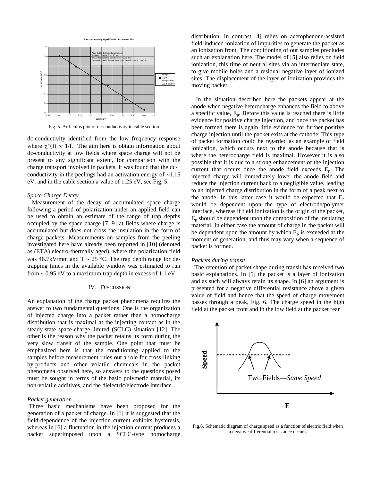

Fig. 5. Arrhenius plot of dc-conductivity in cable section

dc-conductivity identified from the low frequency response where  $\gamma''(f) \propto 1/f$ . The aim here is obtain information about dc-conductivity at low fields where space charge will not be present to any significant extent, for comparison with the charge transport involved in packets. It was found that the dcconductivity in the peelings had an activation energy of  $\sim$ 1.15 eV, and in the cable section a value of 1.25 eV, see Fig. 5.

#### *Space Charge Decay*

 Measurement of the decay of accumulated space charge following a period of polarization under an applied field can be used to obtain an estimate of the range of trap depths occupied by the space charge [7, 9] at fields where charge is accumulated but does not cross the insulation in the form of charge packets. Measurements on samples from the peeling investigated here have already been reported in [10] (denoted as (ETA) electro-thermally aged), where the polarization field was 46.7kV/mm and T  $\sim$  25 °C. The trap depth range for detrapping times in the available window was estimated to run from  $\sim 0.95$  eV to a maximum trap depth in excess of 1.1 eV.

### IV. DISCUSSION

An explanation of the charge packet phenomena requires the answer to two fundamental questions. One is the organization of injected charge into a packet rather than a homocharge distribution that is maximal at the injecting contact as in the steady-state space-charge-limited (SCLC) situation [12]. The other is the reason why the packet retains its form during the very slow transit of the sample. One point that must be emphasized here is that the conditioning applied to the samples before measurement rules out a role for cross-linking by-products and other volatile chemicals in the packet phenomena observed here, so answers to the questions posed must be sought in terms of the basic polymeric material, its non-volatile additives, and the dielectric/electrode interface.

## *Packet generation*

Three basic mechanisms have been proposed for the generation of a packet of charge. In [1] it is suggested that the field-dependence of the injection current exhibits hysteresis, whereas in [6] a fluctuation in the injection current produces a packet superimposed upon a SCLC-type homocharge distribution. In contrast [4] relies on acetophenone-assisted field-induced ionization of impurities to generate the packet as an ionization front. The conditioning of our samples precludes such an explanation here. The model of [5] also relies on field ionization, this time of neutral sites via an intermediate state, to give mobile holes and a residual negative layer of ionized sites. The displacement of the layer of ionization provides the moving packet.

 In the situation described here the packets appear at the anode when negative heterocharge enhances the field to above a specific value,  $E_p$ . Before this value is reached there is little evidence for positive charge injection, and once the packet has been formed there is again little evidence for further positive charge injection until the packet exits at the cathode. This type of packet formation could be regarded as an example of field ionization, which occurs next to the anode because that is where the heterocharge field is maximal. However it is also possible that it is due to a strong enhancement of the injection current that occurs once the anode field exceeds  $E_p$ . The injected charge will immediately lower the anode field and reduce the injection current back to a negligible value, leading to an injected charge distribution in the form of a peak next to the anode. In this latter case it would be expected that  $E_p$ would be dependent upon the type of electrode/polymer interface, whereas if field ionization is the origin of the packet,  $E_p$  should be dependent upon the composition of the insulating material. In either case the amount of charge in the packet will be dependent upon the amount by which  $E_p$  is exceeded at the moment of generation, and thus may vary when a sequence of packet is formed.

#### *Packets during transit*

 The retention of packet shape during transit has received two basic explanations. In [5] the packet is a layer of ionization and as such will always retain its shape. In [6] an argument is presented for a negative differential resistance above a given value of field and hence that the speed of charge movement passes through a peak, Fig. 6. The charge speed in the high field at the packet front and in the low field at the packet rear



Fig.6. Schematic diagram of charge speed as a function of electric field when a negative differential resistance occurs.